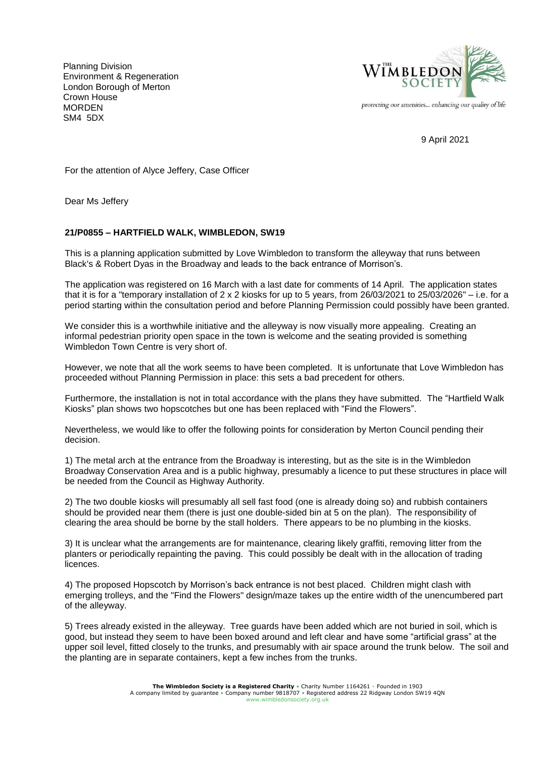Planning Division Environment & Regeneration London Borough of Merton Crown House **MORDEN** SM4 5DX



protecting our amenities... enhancing our quality of life

9 April 2021

For the attention of Alyce Jeffery, Case Officer

Dear Ms Jeffery

## **21/P0855 – HARTFIELD WALK, WIMBLEDON, SW19**

This is a planning application submitted by Love Wimbledon to transform the alleyway that runs between Black's & Robert Dyas in the Broadway and leads to the back entrance of Morrison's.

The application was registered on 16 March with a last date for comments of 14 April. The application states that it is for a "temporary installation of 2 x 2 kiosks for up to 5 years, from 26/03/2021 to 25/03/2026" – i.e. for a period starting within the consultation period and before Planning Permission could possibly have been granted.

We consider this is a worthwhile initiative and the alleyway is now visually more appealing. Creating an informal pedestrian priority open space in the town is welcome and the seating provided is something Wimbledon Town Centre is very short of.

However, we note that all the work seems to have been completed. It is unfortunate that Love Wimbledon has proceeded without Planning Permission in place: this sets a bad precedent for others.

Furthermore, the installation is not in total accordance with the plans they have submitted. The "Hartfield Walk Kiosks" plan shows two hopscotches but one has been replaced with "Find the Flowers".

Nevertheless, we would like to offer the following points for consideration by Merton Council pending their decision.

1) The metal arch at the entrance from the Broadway is interesting, but as the site is in the Wimbledon Broadway Conservation Area and is a public highway, presumably a licence to put these structures in place will be needed from the Council as Highway Authority.

2) The two double kiosks will presumably all sell fast food (one is already doing so) and rubbish containers should be provided near them (there is just one double-sided bin at 5 on the plan). The responsibility of clearing the area should be borne by the stall holders. There appears to be no plumbing in the kiosks.

3) It is unclear what the arrangements are for maintenance, clearing likely graffiti, removing litter from the planters or periodically repainting the paving. This could possibly be dealt with in the allocation of trading licences.

4) The proposed Hopscotch by Morrison's back entrance is not best placed. Children might clash with emerging trolleys, and the "Find the Flowers" design/maze takes up the entire width of the unencumbered part of the alleyway.

5) Trees already existed in the alleyway. Tree guards have been added which are not buried in soil, which is good, but instead they seem to have been boxed around and left clear and have some "artificial grass" at the upper soil level, fitted closely to the trunks, and presumably with air space around the trunk below. The soil and the planting are in separate containers, kept a few inches from the trunks.